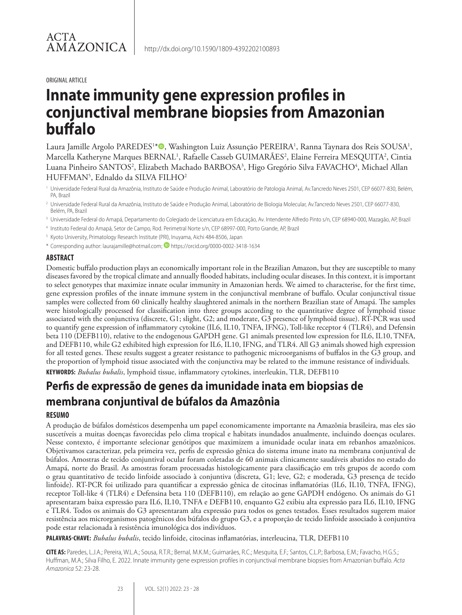#### ORIGINAL ARTICLE

# **Innate immunity gene expression profiles in conjunctival membrane biopsies from Amazonian buffalo**

Laura Jamille Argolo PAREDES<sup>1\*</sup>®, Washington Luiz Assunção PEREIRA<sup>1</sup>, Ranna Taynara dos Reis SOUSA<sup>1</sup>, Marcella Katheryne Marques BERNAL<sup>1</sup>, Rafaelle Casseb GUIMARÃES<sup>2</sup>, Elaine Ferreira MESQUITA<sup>2</sup>, Cintia Luana Pinheiro SANTOS<sup>2</sup>, Elizabeth Machado BARBOSA<sup>3</sup>, Higo Gregório Silva FAVACHO<sup>4</sup>, Michael Allan  $HUFFMAN<sup>5</sup>$ , Ednaldo da SILVA FILHO<sup>2</sup>

<sup>1</sup> Universidade Federal Rural da Amazônia, Instituto de Saúde e Produção Animal, Laboratório de Patologia Animal, Av.Tancredo Neves 2501, CEP 66077-830, Belém, PA, Brazil

<sup>2</sup> Universidade Federal Rural da Amazônia, Instituto de Saúde e Produção Animal, Laboratório de Biologia Molecular, Av.Tancredo Neves 2501, CEP 66077-830, Belém, PA, Brazil

- <sup>3</sup> Universidade Federal do Amapá, Departamento do Colegiado de Licenciatura em Educação, Av. Intendente Alfredo Pinto s/n, CEP 68940-000, Mazagão, AP, Brazil
- <sup>4</sup> Instituto Federal do Amapá, Setor de Campo, Rod. Perimetral Norte s/n, CEP 68997-000, Porto Grande, AP, Brazil
- <sup>5</sup> Kyoto University, Primatology Research Institute (PRI), Inuyama, Aichi 484-8506, Japan

\* Corresponding author: laurajamille@hotmail.com; **D** https://orcid.org/0000-0002-3418-1634

# **ABSTRACT**

Domestic buffalo production plays an economically important role in the Brazilian Amazon, but they are susceptible to many diseases favored by the tropical climate and annually flooded habitats, including ocular diseases. In this context, it is important to select genotypes that maximize innate ocular immunity in Amazonian herds. We aimed to characterise, for the first time, gene expression profiles of the innate immune system in the conjunctival membrane of buffalo. Ocular conjunctival tissue samples were collected from 60 clinically healthy slaughtered animals in the northern Brazilian state of Amapá. The samples were histologically processed for classification into three groups according to the quantitative degree of lymphoid tissue associated with the conjunctiva (discrete, G1; slight, G2; and moderate, G3 presence of lymphoid tissue). RT-PCR was used to quantify gene expression of inflammatory cytokine (IL6, IL10, TNFA, IFNG), Toll-like receptor 4 (TLR4), and Defensin beta 110 (DEFB110), relative to the endogenous GAPDH gene. G1 animals presented low expression for IL6, IL10, TNFA, and DEFB110, while G2 exhibited high expression for IL6, IL10, IFNG, and TLR4. All G3 animals showed high expression for all tested genes. These results suggest a greater resistance to pathogenic microorganisms of buffalos in the G3 group, and the proportion of lymphoid tissue associated with the conjunctiva may be related to the immune resistance of individuals. **KEYWORDS:** *Bubalus bubalis*, lymphoid tissue, inflammatory cytokines, interleukin, TLR, DEFB110

# **Perfis de expressão de genes da imunidade inata em biopsias de membrana conjuntival de búfalos da Amazônia**

# **RESUMO**

A produção de búfalos domésticos desempenha um papel economicamente importante na Amazônia brasileira, mas eles são suscetíveis a muitas doenças favorecidas pelo clima tropical e habitats inundados anualmente, incluindo doenças oculares. Nesse contexto, é importante selecionar genótipos que maximizem a imunidade ocular inata em rebanhos amazônicos. Objetivamos caracterizar, pela primeira vez, perfis de expressão gênica do sistema imune inato na membrana conjuntival de búfalos. Amostras de tecido conjuntival ocular foram coletadas de 60 animais clinicamente saudáveis abatidos no estado do Amapá, norte do Brasil. As amostras foram processadas histologicamente para classificação em três grupos de acordo com o grau quantitativo de tecido linfoide associado à conjuntiva (discreta, G1; leve, G2; e moderada, G3 presença de tecido linfoide). RT-PCR foi utilizado para quantificar a expressão gênica de citocinas inflamatórias (IL6, IL10, TNFA, IFNG), receptor Toll-like 4 (TLR4) e Defensina beta 110 (DEFB110), em relação ao gene GAPDH endógeno. Os animais do G1 apresentaram baixa expressão para IL6, IL10, TNFA e DEFB110, enquanto G2 exibiu alta expressão para IL6, IL10, IFNG e TLR4. Todos os animais do G3 apresentaram alta expressão para todos os genes testados. Esses resultados sugerem maior resistência aos microrganismos patogênicos dos búfalos do grupo G3, e a proporção de tecido linfoide associado à conjuntiva pode estar relacionada à resistência imunológica dos indivíduos.

**PALAVRAS-CHAVE:** *Bubalus bubalis*, tecido linfoide, citocinas inflamatórias, interleucina, TLR, DEFB110

**CITE AS:** Paredes, L.J.A.; Pereira, W.L.A.; Sousa, R.T.R.; Bernal, M.K.M.; Guimarães, R.C.; Mesquita, E.F.; Santos, C.L.P.; Barbosa, E.M.; Favacho, H.G.S.; Huffman, M.A.; Silva Filho, E. 2022. Innate immunity gene expression profiles in conjunctival membrane biopsies from Amazonian buffalo. *Acta Amazonica* 52: 23-28.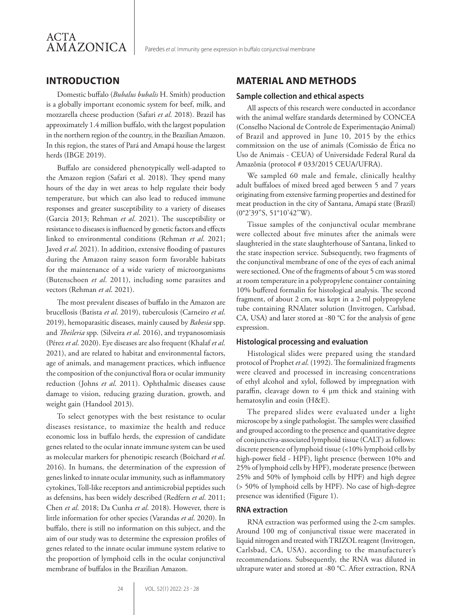# **INTRODUCTION**

Domestic buffalo (*Bubalus bubalis* H. Smith) production is a globally important economic system for beef, milk, and mozzarella cheese production (Safari *et al*. 2018). Brazil has approximately 1.4 million buffalo, with the largest population in the northern region of the country, in the Brazilian Amazon. In this region, the states of Pará and Amapá house the largest herds (IBGE 2019).

Buffalo are considered phenotypically well-adapted to the Amazon region (Safari et al. 2018). They spend many hours of the day in wet areas to help regulate their body temperature, but which can also lead to reduced immune responses and greater susceptibility to a variety of diseases (Garcia 2013; Rehman *et al*. 2021). The susceptibility or resistance to diseases is influenced by genetic factors and effects linked to environmental conditions (Rehman *et al*. 2021; Javed *et al*. 2021). In addition, extensive flooding of pastures during the Amazon rainy season form favorable habitats for the maintenance of a wide variety of microorganisms (Butenschoen *et al*. 2011), including some parasites and vectors (Rehman *et al*. 2021).

The most prevalent diseases of buffalo in the Amazon are brucellosis (Batista *et al*. 2019), tuberculosis (Carneiro *et al*. 2019), hemoparasitic diseases, mainly caused by *Babesia* spp. and *Theileria* spp. (Silveira *et al*. 2016), and trypanosomiasis (Pérez *et al*. 2020). Eye diseases are also frequent (Khalaf *et al*. 2021), and are related to habitat and environmental factors, age of animals, and management practices, which influence the composition of the conjunctival flora or ocular immunity reduction (Johns *et al*. 2011). Ophthalmic diseases cause damage to vision, reducing grazing duration, growth, and weight gain (Handool 2013).

To select genotypes with the best resistance to ocular diseases resistance, to maximize the health and reduce economic loss in buffalo herds, the expression of candidate genes related to the ocular innate immune system can be used as molecular markers for phenotipic research (Boichard *et al*. 2016). In humans, the determination of the expression of genes linked to innate ocular immunity, such as inflammatory cytokines, Toll-like receptors and antimicrobial peptides such as defensins, has been widely described (Redfern *et al*. 2011; Chen *et al*. 2018; Da Cunha *et al*. 2018). However, there is little information for other species (Varandas *et al*. 2020). In buffalo, there is still no information on this subject, and the aim of our study was to determine the expression profiles of genes related to the innate ocular immune system relative to the proportion of lymphoid cells in the ocular conjunctival membrane of buffalos in the Brazilian Amazon.

# **MATERIAL AND METHODS**

### **Sample collection and ethical aspects**

All aspects of this research were conducted in accordance with the animal welfare standards determined by CONCEA (Conselho Nacional de Controle de Experimentação Animal) of Brazil and approved in June 10, 2015 by the ethics commitssion on the use of animals (Comissão de Ética no Uso de Animais - CEUA) of Universidade Federal Rural da Amazônia (protocol # 033/2015 CEUA/UFRA).

We sampled 60 male and female, clinically healthy adult buffaloes of mixed breed aged between 5 and 7 years originating from extensive farming properties and destined for meat production in the city of Santana, Amapá state (Brazil) (0°2'39''S, 51°10'42''W).

Tissue samples of the conjunctival ocular membrane were collected about five minutes after the animals were slaughteried in the state slaughterhouse of Santana, linked to the state inspection service. Subsequently, two fragments of the conjunctival membrane of one of the eyes of each animal were sectioned. One of the fragments of about 5 cm was stored at room temperature in a polypropylene container containing 10% buffered formalin for histological analysis. The second fragment, of about 2 cm, was kept in a 2-ml polypropylene tube containing RNAlater solution (Invitrogen, Carlsbad, CA, USA) and later stored at -80 °C for the analysis of gene expression.

#### **Histological processing and evaluation**

Histological slides were prepared using the standard protocol of Prophet *et al*. (1992). The formalinized fragments were cleaved and processed in increasing concentrations of ethyl alcohol and xylol, followed by impregnation with paraffin, cleavage down to 4 µm thick and staining with hematoxylin and eosin (H&E).

The prepared slides were evaluated under a light microscope by a single pathologist. The samples were classified and grouped according to the presence and quantitative degree of conjunctiva-associated lymphoid tissue (CALT) as follows: discrete presence of lymphoid tissue (<10% lymphoid cells by high-power field - HPF), light presence (between 10% and 25% of lymphoid cells by HPF), moderate presence (between 25% and 50% of lymphoid cells by HPF) and high degree (> 50% of lymphoid cells by HPF). No case of high-degree presence was identified (Figure 1).

#### **RNA extraction**

RNA extraction was performed using the 2-cm samples. Around 100 mg of conjunctival tissue were macerated in liquid nitrogen and treated with TRIZOL reagent (Invitrogen, Carlsbad, CA, USA), according to the manufacturer's recommendations. Subsequently, the RNA was diluted in ultrapure water and stored at -80 °C. After extraction, RNA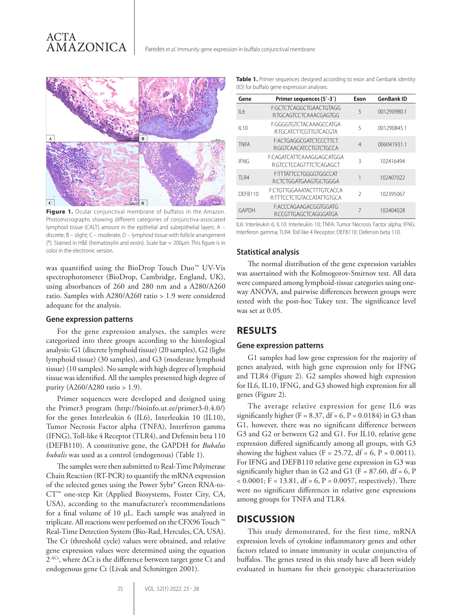

**Figure 1.** Ocular conjunctival membrane of buffalos in the Amazon. Photomicrographs showing different categories of conjunctiva-associated lymphoid tissue (CALT) amount in the epithelial and subepithelial layers: A – discrete; B – slight; C – moderate; D – lymphoid tissue with follicle arrangement (\*). Stained in H&E (hematoxylin and eosin). Scale bar = 200µm. This figure is in color in the electronic version.

was quantified using the BioDrop Touch Duo™ UV-Vis spectrophotometer (BioDrop, Cambridge, England, UK), using absorbances of 260 and 280 nm and a A280/A260 ratio. Samples with A280/A260 ratio > 1.9 were considered adequate for the analysis.

#### **Gene expression patterns**

For the gene expression analyses, the samples were categorized into three groups according to the histological analysis: G1 (discrete lymphoid tissue) (20 samples), G2 (light lymphoid tissue) (30 samples), and G3 (moderate lymphoid tissue) (10 samples). No sample with high degree of lymphoid tissue was identified. All the samples presented high degree of purity (A260/A280 ratio > 1.9).

Primer sequences were developed and designed using the Primer3 program (http://bioinfo.ut.ee/primer3-0.4.0/) for the genes Interleukin 6 (IL6), Interleukin 10 (IL10), Tumor Necrosis Factor alpha (TNFA), Interferon gamma (IFNG), Toll-like 4 Receptor (TLR4), and Defensin beta 110 (DEFB110). A constitutive gene, the GAPDH for *Bubalus bubalis* was used as a control (endogenous) (Table 1).

The samples were then submitted to Real-Time Polymerase Chain Reaction (RT-PCR) to quantify the mRNA expression of the selected genes using the Power Sybr® Green RNA-to-CT™ one-step Kit (Applied Biosystems, Foster City, CA, USA), according to the manufacturer's recommendations for a final volume of 10 µL. Each sample was analyzed in triplicate. All reactions were performed on the CFX96 Touch ™ Real-Time Detection System (Bio-Rad, Hercules, CA, USA). The Ct (threshold cycle) values were obtained, and relative gene expression values were determined using the equation 2<sup>-∆Ct</sup>, where ∆Ct is the difference between target gene Ct and endogenous gene Ct (Livak and Schmittgen 2001).

| Gene            | Primer sequences (5`-3`)                                | Exon           | <b>GenBank ID</b> |
|-----------------|---------------------------------------------------------|----------------|-------------------|
| II <sub>6</sub> | F:GCTCTCAGGCTGAACTGTAGG<br>R:TGCAGTCCTCAAACGAGTGG       | 5              | 001290980.1       |
| $II$ 10         | F:GGGGTGTCTACAAAGCCATGA<br>R·TGCATCTTCGTTGTCACGTA       | 5              | 001290845.1       |
| <b>TNFA</b>     | F:ACTGAGGCGATCTCCCTTCT<br>R:GGTCAACATCCTGTCTGCCA        | $\overline{4}$ | 006041931.1       |
| <b>IFNG</b>     | E:CAGATCATTCAAAGGAGCATGGA<br>R:GTCCTCCAGTTTCTCAGAGCT    | 3              | 102416494         |
| <b>TI R4</b>    | <b>F:TTTATTCCTGGGGTGGCCAT</b><br>R:CTCTGGATGAAGTGCTGGGA |                | 102407022         |
| DFFB110         | E:CTGTTGGAAATACTTTGTCACCA<br>RITTCCTCTGTACCATATTGTGCA   | $\mathcal{I}$  | 102395067         |
| GAPDH           | F:ACCCAGAAGACGGTGGATG<br>R:CCGTTGAGCTCAGGGATGA          | 7              | 102404028         |

IL6: Interleukin 6; IL10: Interleukin 10; TNFA: Tumor Necrosis Factor alpha; IFNG: Interferon gamma; TLR4: Toll like 4 Receptor; DEFB110: Defensin beta 110.

#### **Statistical analysis**

The normal distribution of the gene expression variables was assertained with the Kolmogorov-Smirnov test. All data were compared among lymphoid-tissue categories using oneway ANOVA, and pairwise differences between groups were tested with the post-hoc Tukey test. The significance level was set at 0.05.

# **RESULTS**

#### **Gene expression patterns**

G1 samples had low gene expression for the majority of genes analyzed, with high gene expression only for IFNG and TLR4 (Figure 2). G2 samples showed high expression for IL6, IL10, IFNG, and G3 showed high expression for all genes (Figure 2).

The average relative expression for gene IL6 was significantly higher (F = 8.37, df = 6, P = 0.0184) in G3 than G1, however, there was no significant difference between G3 and G2 or between G2 and G1. For IL10, relative gene expression differed significantly among all groups, with G3 showing the highest values (F = 25.72, df = 6, P =  $0.0011$ ). For IFNG and DEFB110 relative gene expression in G3 was significantly higher than in G2 and G1 ( $F = 87.60$ , df = 6, P  $< 0.0001$ ; F = 13.81, df = 6, P = 0.0057, respectively). There were no significant differences in relative gene expressions among groups for TNFA and TLR4.

### **DISCUSSION**

This study demonstrated, for the first time, mRNA expression levels of cytokine inflammatory genes and other factors related to innate immunity in ocular conjunctiva of buffalos. The genes tested in this study have all been widely evaluated in humans for their genotypic characterization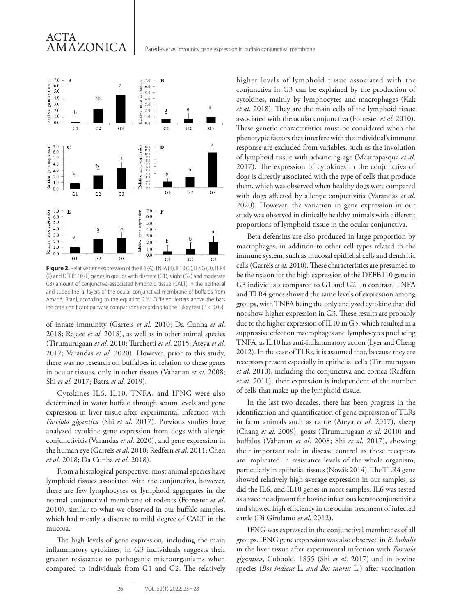# ACTA AMAZONICA



**Figure 2.** Relative gene expression of the IL6 (A), TNFA (B), IL10 (C), IFNG (D), TLR4 (E) and DEFB110 (F) genes in groups with discrete (G1), slight (G2) and moderate G3) amount of conjunctiva-associated lymphoid tissue (CALT) in the epithelial and subepithelial layers of the ocular conjunctival membrane of buffalos from Amapá, Brazil, according to the equation 2<sup>-∆Ct</sup>. Different letters above the bars indicate significant pairwise comparisons according to the Tukey test ( $P < 0.05$ ).

of innate immunity (Garreis *et al*. 2010; Da Cunha *et al*. 2018; Rajaee *et al*. 2018), as well as in other animal species (Tirumurugaan *et al*. 2010; Turchetti *et al*. 2015; Ateya *et al*. 2017; Varandas *et al*. 2020). However, prior to this study, there was no research on buffaloes in relation to these genes in ocular tissues, only in other tissues (Vahanan *et al*. 2008; Shi *et al*. 2017; Batra *et al*. 2019).

Cytokines IL6, IL10, TNFA, and IFNG were also determined in water buffalo through serum levels and gene expression in liver tissue after experimental infection with *Fasciola gigantica* (Shi *et al*. 2017). Previous studies have analyzed cytokine gene expression from dogs with allergic conjunctivitis (Varandas *et al*. 2020), and gene expression in the human eye (Garreis *et al*. 2010; Redfern *et al*. 2011; Chen *et al*. 2018; Da Cunha *et al*. 2018).

From a histological perspective, most animal species have lymphoid tissues associated with the conjunctiva, however, there are few lymphocytes or lymphoid aggregates in the normal conjunctival membrane of rodents (Forrester *et al*. 2010), similar to what we observed in our buffalo samples, which had mostly a discrete to mild degree of CALT in the mucosa.

The high levels of gene expression, including the main inflammatory cytokines, in G3 individuals suggests their greater resistance to pathogenic microorganisms when compared to individuals from G1 and G2. The relatively higher levels of lymphoid tissue associated with the conjunctiva in G3 can be explained by the production of cytokines, mainly by lymphocytes and macrophages (Kak *et al*. 2018). They are the main cells of the lymphoid tissue associated with the ocular conjunctiva (Forrester *et al*. 2010). These genetic characteristics must be considered when the phenotypic factors that interfere with the individual's immune response are excluded from variables, such as the involution of lymphoid tissue with advancing age (Mastropasqua *et al*. 2017). The expression of cytokines in the conjunctiva of dogs is directly associated with the type of cells that produce them, which was observed when healthy dogs were compared with dogs affected by allergic conjuctivitis (Varandas *et al*. 2020). However, the variation in gene expression in our study was observed in clinically healthy animals with different proportions of lymphoid tissue in the ocular conjunctiva.

Beta defensins are also produced in large proportion by macrophages, in addition to other cell types related to the immune system, such as mucosal epithelial cells and dendritic cells (Garreis *et al*. 2010). These characteristics are presumed to be the reason for the high expression of the DEFB110 gene in G3 individuals compared to G1 and G2. In contrast, TNFA and TLR4 genes showed the same levels of expression among groups, with TNFA being the only analyzed cytokine that did not show higher expression in G3. These results are probably due to the higher expression of IL10 in G3, which resulted in a suppressive effect on macrophages and lymphocytes producing TNFA, as IL10 has anti-inflammatory action (Lyer and Cheng 2012). In the case of TLRs, it is assumed that, because they are receptors present especially in epithelial cells (Tirumurugaan *et al*. 2010), including the conjunctiva and cornea (Redfern *et al*. 2011), their expression is independent of the number of cells that make up the lymphoid tissue.

In the last two decades, there has been progress in the identification and quantification of gene expression of TLRs in farm animals such as cattle (Ateya *et al*. 2017), sheep (Chang *et al*. 2009), goats (Tirumurugaan *et al*. 2010) and buffalos (Vahanan *et al*. 2008; Shi *et al*. 2017), showing their important role in disease control as these receptors are implicated in resistance levels of the whole organism, particularly in epithelial tissues (Novák 2014). The TLR4 gene showed relatively high average expression in our samples, as did the IL6, and IL10 genes in most samples. IL6 was tested as a vaccine adjuvant for bovine infectious keratoconjunctivitis and showed high efficiency in the ocular treatment of infected cattle (Di Girolamo *et al*. 2012).

IFNG was expressed in the conjunctival membranes of all groups. IFNG gene expression was also observed in *B. bubalis* in the liver tissue after experimental infection with *Fasciola gigantica*, Cobbold, 1855 (Shi *et al*. 2017) and in bovine species (*Bos indicus* L. *and Bos taurus* L.) after vaccination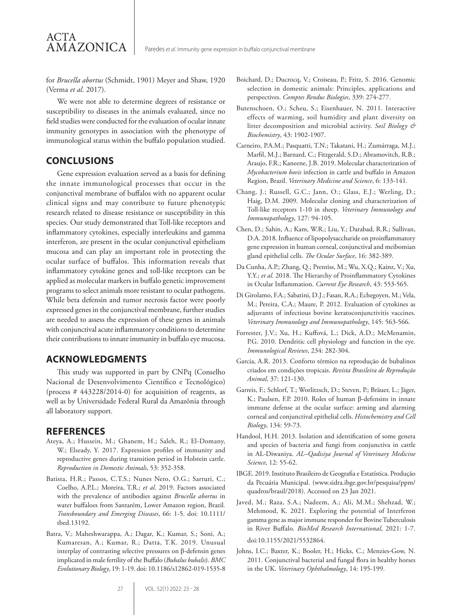for *Brucella abortus* (Schmidt, 1901) Meyer and Shaw, 1920 (Verma *et al*. 2017).

We were not able to determine degrees of resistance or susceptibility to diseases in the animals evaluated, since no field studies were conducted for the evaluation of ocular innate immunity genotypes in association with the phenotype of immunological status within the buffalo population studied.

# **CONCLUSIONS**

ACTA

AMAZONICA

Gene expression evaluation served as a basis for defining the innate immunological processes that occur in the conjunctival membrane of buffalos with no apparent ocular clinical signs and may contribute to future phenotypic research related to disease resistance or susceptibility in this species. Our study demonstrated that Toll-like receptors and inflammatory cytokines, especially interleukins and gamma interferon, are present in the ocular conjunctival epithelium mucosa and can play an important role in protecting the ocular surface of buffalos. This information reveals that inflammatory cytokine genes and toll-like receptors can be applied as molecular markers in buffalo genetic improvement programs to select animals more resistant to ocular pathogens. While beta defensin and tumor necrosis factor were poorly expressed genes in the conjunctival membrane, further studies are needed to assess the expression of these genes in animals with conjunctival acute inflammatory conditions to determine their contributions to innate immunity in buffalo eye mucosa.

# **ACKNOWLEDGMENTS**

This study was supported in part by CNPq (Conselho Nacional de Desenvolvimento Científico e Tecnológico) (process # 443228/2014-0) for acquisition of reagents, as well as by Universidade Federal Rural da Amazônia through all laboratory support.

# **REFERENCES**

- Ateya, A.; Hussein, M.; Ghanem, H.; Saleh, R.; El-Domany, W.; Elseady, Y. 2017. Expression profiles of immunity and reproductive genes during transition period in Holstein cattle. *Reproduction in Domestic Animals*, 53: 352-358.
- Batista, H.R.; Passos, C.T.S.; Nunes Neto, O.G.; Sarturi, C.; Coelho, A.P.L.; Moreira, T.R.; *et al*. 2019. Factors associated with the prevalence of antibodies against *Brucella abortus* in water buffaloes from Santarém, Lower Amazon region, Brazil*. Transboundary and Emerging Diseases*, 66: 1-5. doi: 10.1111/ tbed.13192.
- Batra, V.; Maheshwarappa, A.; Dagar, K.; Kumar, S.; Soni, A.; Kumaresan, A.; Kumar, R.; Datta, T.K. 2019. Unusual interplay of contrasting selective pressures on β-defensin genes implicated in male fertility of the Buffalo (*Bubalus bubalis*). *BMC Evolutionary Biology*, 19: 1-19. doi: 10.1186/s12862-019-1535-8
- Boichard, D.; Ducrocq, V.; Croiseau, P.; Fritz, S. 2016. Genomic selection in domestic animals: Principles, applications and perspectives. *Comptes Rendus Biologies*, 339: 274-277.
- Butenschoen, O.; Scheu, S.; Eisenhauer, N. 2011. Interactive effects of warming, soil humidity and plant diversity on litter decomposition and microbial activity. *Soil Biology & Biochemistry*, 43: 1902-1907.
- Carneiro, P.A.M.; Pasquatti, T.N.; Takatani, H.; Zumárraga, M.J.; Marfil, M.J.; Barnard, C.; Fitzgerald, S.D.; Abramovitch, R.B.; Araujo, F.R.; Kaneene, J.B. 2019. Molecular characterization of *Mycobacterium bovis* infection in cattle and buffalo in Amazon Region, Brazil. *Veterinary Medicine and Science*, 6: 133-141*.*
- Chang, J.; Russell, G.C.; Jann, O.; Glass, E.J.; Werling, D.; Haig, D.M. 2009. Molecular cloning and characterization of Toll-like receptors 1-10 in sheep. *Veterinary Immunology and Immunopathology*, 127: 94-105.
- Chen, D.; Sahin, A.; Kam, W.R.; Liu, Y.; Darabad, R.R.; Sullivan, D.A. 2018. Influence of lipopolysaccharide on proinflammatory gene expression in human corneal, conjunctival and meibomian gland epithelial cells. *The Ocular Surface*, 16: 382-389.
- Da Cunha, A.P.; Zhang, Q.; Prentiss, M.; Wu, X.Q.; Kainz, V.; Xu, Y.Y.; *et al*. 2018. The Hierarchy of Proinflammatory Cytokines in Ocular Inflammation. *Current Eye Research*, 43: 553-565.
- Di Girolamo, F.A.; Sabatini, D.J.; Fasan, R.A.; Echegoyen, M.; Vela, M.; Pereira, C.A.; Maure, P. 2012. Evaluation of cytokines as adjuvants of infectious bovine keratoconjunctivitis vaccines. *Veterinary Immunology and Immunopathology*, 145: 563-566.
- Forrester, J.V.; Xu, H.; Kuffová, L.; Dick, A.D.; McMenamin, P.G. 2010. Dendritic cell physiology and function in the eye. *Immunological Reviews*, 234: 282-304.
- Garcia, A.R. 2013. Conforto térmico na reprodução de bubalinos criados em condições tropicais. *Revista Brasileira de Reprodução Animal*, 37: 121-130.
- Garreis, F.; Schlorf, T.; Worlitzsch, D.; Steven, P.; Bräuer, L.; Jäger, K.; Paulsen, F.P. 2010. Roles of human β-defensins in innate immune defense at the ocular surface: arming and alarming corneal and conjunctival epithelial cells. *Histochemistry and Cell Biology*, 134: 59-73.
- Handool, H.H. 2013. Isolation and identification of some genera and species of bacteria and fungi from conjunctiva in cattle in AL-Diwaniya. *AL–Qadisiya Journal of Veterinary Medicine Science*, 12: 55-62.
- IBGE. 2019. Instituto Brasileiro de Geografia e Estatística. Produção da Pecuária Municipal. (www.sidra.ibge.gov.br/pesquisa/ppm/ quadros/brasil/2018). Accessed on 23 Jan 2021.
- Javed, M.; Raza, S.A.; Nadeem, A.; Ali, M.M.; Shehzad, W.; Mehmood, K. 2021. Exploring the potential of Interferon gamma gene as major immune responder for Bovine Tuberculosis in River Buffalo. *BioMed Research International*, 2021: 1-7. doi:10.1155/2021/5532864.
- Johns, I.C.; Baxter, K.; Booler, H.; Hicks, C.; Menzies-Gow, N. 2011. Conjunctival bacterial and fungal flora in healthy horses in the UK. *Veterinary Ophthalmology*, 14: 195-199.